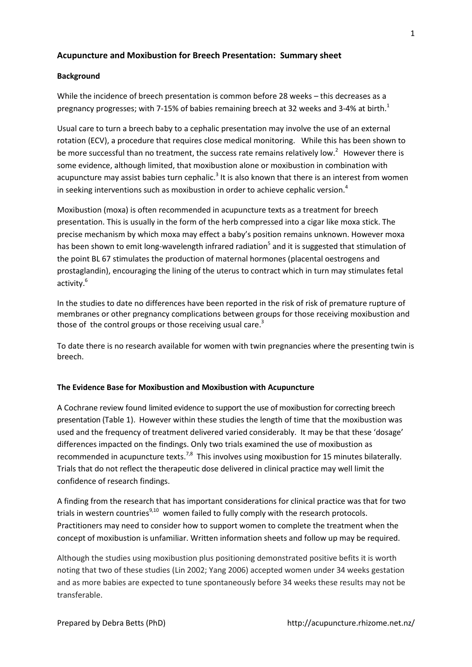# **Acupuncture and Moxibustion for Breech Presentation: Summary sheet**

## **Background**

While the incidence of breech presentation is common before 28 weeks – this decreases as a pregnancy progresses; with 7-15% of babies remaining breech at 32 weeks and 3-4% at birth.<sup>1</sup>

Usual care to turn a breech baby to a cephalic presentation may involve the use of an external rotation (ECV), a procedure that requires close medical monitoring. While this has been shown to be more successful than no treatment, the success rate remains relatively low.<sup>2</sup> However there is some evidence, although limited, that moxibustion alone or moxibustion in combination with acupuncture may assist babies turn cephalic.<sup>3</sup> It is also known that there is an interest from women in seeking interventions such as moxibustion in order to achieve cephalic version. 4

Moxibustion (moxa) is often recommended in acupuncture texts as a treatment for breech presentation. This is usually in the form of the herb compressed into a cigar like moxa stick. The precise mechanism by which moxa may effect a baby's position remains unknown. However moxa has been shown to emit long-wavelength infrared radiation<sup>5</sup> and it is suggested that stimulation of the point BL 67 stimulates the production of maternal hormones (placental oestrogens and prostaglandin), encouraging the lining of the uterus to contract which in turn may stimulates fetal activity. 6

In the studies to date no differences have been reported in the risk of risk of premature rupture of membranes or other pregnancy complications between groups for those receiving moxibustion and those of the control groups or those receiving usual care.<sup>3</sup>

To date there is no research available for women with twin pregnancies where the presenting twin is breech.

## **The Evidence Base for Moxibustion and Moxibustion with Acupuncture**

A Cochrane review found limited evidence to support the use of moxibustion for correcting breech presentation (Table 1). However within these studies the length of time that the moxibustion was used and the frequency of treatment delivered varied considerably. It may be that these 'dosage' differences impacted on the findings. Only two trials examined the use of moxibustion as recommended in acupuncture texts.<sup>7,8</sup> This involves using moxibustion for 15 minutes bilaterally. Trials that do not reflect the therapeutic dose delivered in clinical practice may well limit the confidence of research findings.

A finding from the research that has important considerations for clinical practice was that for two trials in western countries $9,10$  women failed to fully comply with the research protocols. Practitioners may need to consider how to support women to complete the treatment when the concept of moxibustion is unfamiliar. Written information sheets and follow up may be required.

Although the studies using moxibustion plus positioning demonstrated positive befits it is worth noting that two of these studies (Lin 2002; Yang 2006) accepted women under 34 weeks gestation and as more babies are expected to tune spontaneously before 34 weeks these results may not be transferable.